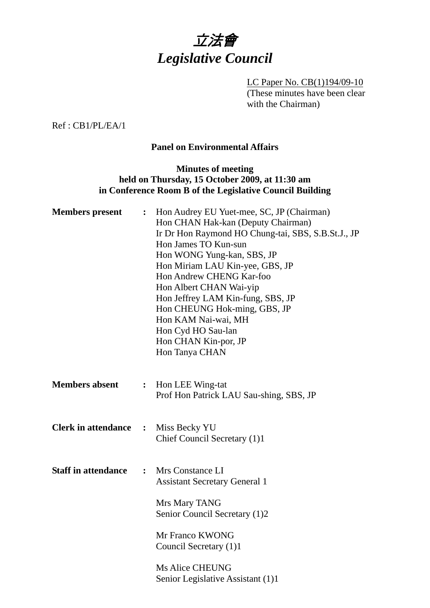

LC Paper No. CB(1)194/09-10 (These minutes have been clear with the Chairman)

Ref : CB1/PL/EA/1

#### **Panel on Environmental Affairs**

### **Minutes of meeting held on Thursday, 15 October 2009, at 11:30 am in Conference Room B of the Legislative Council Building**

| <b>Members</b> present     |                | : Hon Audrey EU Yuet-mee, SC, JP (Chairman)<br>Hon CHAN Hak-kan (Deputy Chairman)<br>Ir Dr Hon Raymond HO Chung-tai, SBS, S.B.St.J., JP<br>Hon James TO Kun-sun<br>Hon WONG Yung-kan, SBS, JP<br>Hon Miriam LAU Kin-yee, GBS, JP<br>Hon Andrew CHENG Kar-foo<br>Hon Albert CHAN Wai-yip<br>Hon Jeffrey LAM Kin-fung, SBS, JP<br>Hon CHEUNG Hok-ming, GBS, JP<br>Hon KAM Nai-wai, MH<br>Hon Cyd HO Sau-lan<br>Hon CHAN Kin-por, JP<br>Hon Tanya CHAN |
|----------------------------|----------------|-----------------------------------------------------------------------------------------------------------------------------------------------------------------------------------------------------------------------------------------------------------------------------------------------------------------------------------------------------------------------------------------------------------------------------------------------------|
| <b>Members absent</b>      | $\ddot{\cdot}$ | Hon LEE Wing-tat<br>Prof Hon Patrick LAU Sau-shing, SBS, JP                                                                                                                                                                                                                                                                                                                                                                                         |
| <b>Clerk in attendance</b> | $\ddot{\cdot}$ | Miss Becky YU<br>Chief Council Secretary (1)1                                                                                                                                                                                                                                                                                                                                                                                                       |
| <b>Staff in attendance</b> | $\ddot{\cdot}$ | Mrs Constance LI<br><b>Assistant Secretary General 1</b><br>Mrs Mary TANG<br>Senior Council Secretary (1)2<br>Mr Franco KWONG<br>Council Secretary (1)1                                                                                                                                                                                                                                                                                             |
|                            |                | <b>Ms Alice CHEUNG</b><br>Senior Legislative Assistant (1)1                                                                                                                                                                                                                                                                                                                                                                                         |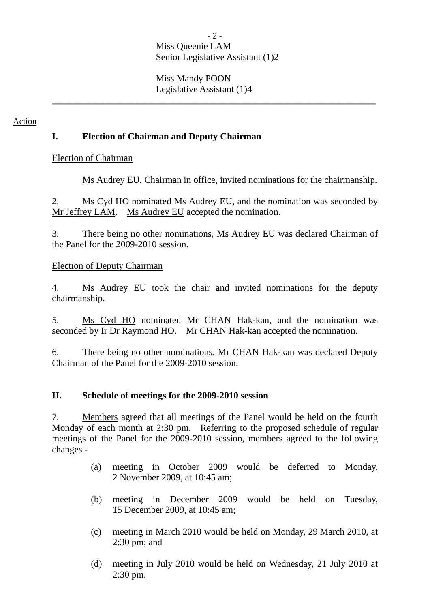#### $-2-$ Miss Queenie LAM Senior Legislative Assistant (1)2

**\_\_\_\_\_\_\_\_\_\_\_\_\_\_\_\_\_\_\_\_\_\_\_\_\_\_\_\_\_\_\_\_\_\_\_\_\_\_\_\_\_\_\_\_\_\_\_\_\_\_\_\_\_\_\_\_\_\_\_\_\_\_\_\_\_\_\_\_\_** 

Miss Mandy POON Legislative Assistant (1)4

Action

### **I. Election of Chairman and Deputy Chairman**

Election of Chairman

Ms Audrey EU, Chairman in office, invited nominations for the chairmanship.

2. Ms Cyd HO nominated Ms Audrey EU, and the nomination was seconded by Mr Jeffrey LAM. Ms Audrey EU accepted the nomination.

3. There being no other nominations, Ms Audrey EU was declared Chairman of the Panel for the 2009-2010 session.

### Election of Deputy Chairman

4. Ms Audrey EU took the chair and invited nominations for the deputy chairmanship.

5. Ms Cyd HO nominated Mr CHAN Hak-kan, and the nomination was seconded by Ir Dr Raymond HO. Mr CHAN Hak-kan accepted the nomination.

6. There being no other nominations, Mr CHAN Hak-kan was declared Deputy Chairman of the Panel for the 2009-2010 session.

#### **II. Schedule of meetings for the 2009-2010 session**

7. Members agreed that all meetings of the Panel would be held on the fourth Monday of each month at 2:30 pm. Referring to the proposed schedule of regular meetings of the Panel for the 2009-2010 session, members agreed to the following changes -

- (a) meeting in October 2009 would be deferred to Monday, 2 November 2009, at 10:45 am;
- (b) meeting in December 2009 would be held on Tuesday, 15 December 2009, at 10:45 am;
- (c) meeting in March 2010 would be held on Monday, 29 March 2010, at 2:30 pm; and
- (d) meeting in July 2010 would be held on Wednesday, 21 July 2010 at 2:30 pm.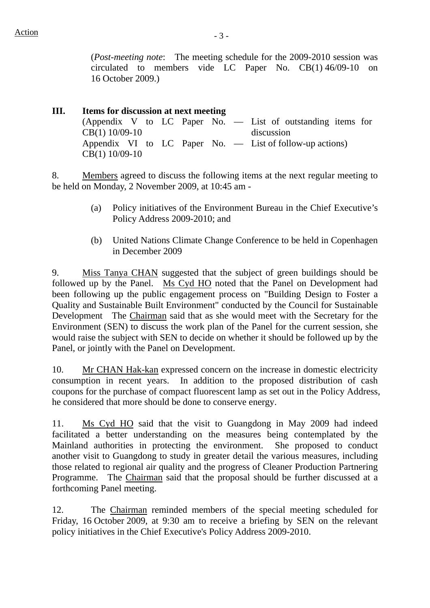(*Post-meeting note*: The meeting schedule for the 2009-2010 session was circulated to members vide LC Paper No. CB(1) 46/09-10 on 16 October 2009.)

**III. Items for discussion at next meeting**  (Appendix V to LC Paper No. — List of outstanding items for CB(1) 10/09-10 discussion Appendix VI to LC Paper No. — List of follow-up actions) CB(1) 10/09-10

8. Members agreed to discuss the following items at the next regular meeting to be held on Monday, 2 November 2009, at 10:45 am -

- (a) Policy initiatives of the Environment Bureau in the Chief Executive's Policy Address 2009-2010; and
- (b) United Nations Climate Change Conference to be held in Copenhagen in December 2009

9. Miss Tanya CHAN suggested that the subject of green buildings should be followed up by the Panel. Ms Cyd HO noted that the Panel on Development had been following up the public engagement process on "Building Design to Foster a Quality and Sustainable Built Environment" conducted by the Council for Sustainable Development The Chairman said that as she would meet with the Secretary for the Environment (SEN) to discuss the work plan of the Panel for the current session, she would raise the subject with SEN to decide on whether it should be followed up by the Panel, or jointly with the Panel on Development.

10. Mr CHAN Hak-kan expressed concern on the increase in domestic electricity consumption in recent years. In addition to the proposed distribution of cash coupons for the purchase of compact fluorescent lamp as set out in the Policy Address, he considered that more should be done to conserve energy.

11. Ms Cyd HO said that the visit to Guangdong in May 2009 had indeed facilitated a better understanding on the measures being contemplated by the Mainland authorities in protecting the environment. She proposed to conduct another visit to Guangdong to study in greater detail the various measures, including those related to regional air quality and the progress of Cleaner Production Partnering Programme. The Chairman said that the proposal should be further discussed at a forthcoming Panel meeting.

12. The Chairman reminded members of the special meeting scheduled for Friday, 16 October 2009, at 9:30 am to receive a briefing by SEN on the relevant policy initiatives in the Chief Executive's Policy Address 2009-2010.